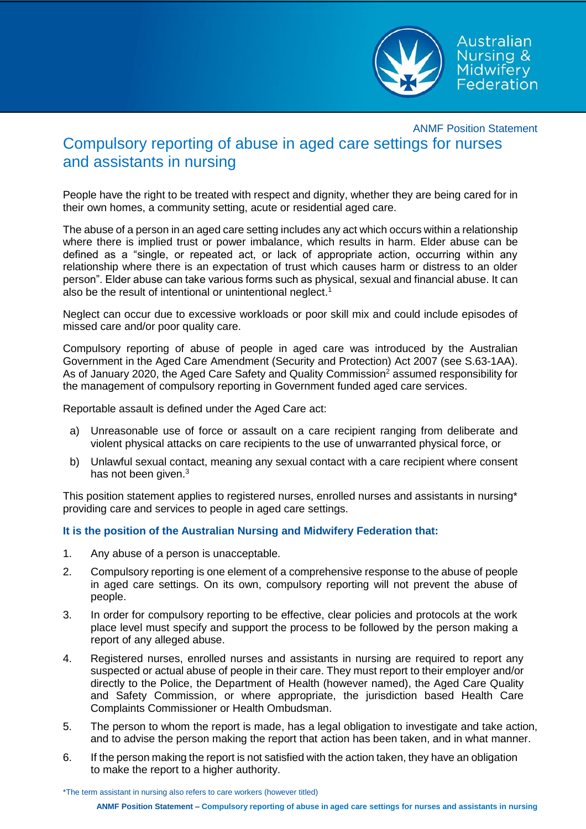

Australian Nursing & Midwifery Federation

## ANMF Position Statement Compulsory reporting of abuse in aged care settings for nurses and assistants in nursing

People have the right to be treated with respect and dignity, whether they are being cared for in their own homes, a community setting, acute or residential aged care.

The abuse of a person in an aged care setting includes any act which occurs within a relationship where there is implied trust or power imbalance, which results in harm. Elder abuse can be defined as a "single, or repeated act, or lack of appropriate action, occurring within any relationship where there is an expectation of trust which causes harm or distress to an older person". Elder abuse can take various forms such as physical, sexual and financial abuse. It can also be the result of intentional or unintentional neglect. 1

Neglect can occur due to excessive workloads or poor skill mix and could include episodes of missed care and/or poor quality care.

Compulsory reporting of abuse of people in aged care was introduced by the Australian Government in the Aged Care Amendment (Security and Protection) Act 2007 (see S.63-1AA). As of January 2020, the Aged Care Safety and Quality Commission<sup>2</sup> assumed responsibility for the management of compulsory reporting in Government funded aged care services.

Reportable assault is defined under the Aged Care act:

- a) Unreasonable use of force or assault on a care recipient ranging from deliberate and violent physical attacks on care recipients to the use of unwarranted physical force, or
- b) Unlawful sexual contact, meaning any sexual contact with a care recipient where consent has not been given.<sup>3</sup>

This position statement applies to registered nurses, enrolled nurses and assistants in nursing\* providing care and services to people in aged care settings.

## **It is the position of the Australian Nursing and Midwifery Federation that:**

- 1. Any abuse of a person is unacceptable.
- 2. Compulsory reporting is one element of a comprehensive response to the abuse of people in aged care settings. On its own, compulsory reporting will not prevent the abuse of people.
- 3. In order for compulsory reporting to be effective, clear policies and protocols at the work place level must specify and support the process to be followed by the person making a report of any alleged abuse.
- 4. Registered nurses, enrolled nurses and assistants in nursing are required to report any suspected or actual abuse of people in their care. They must report to their employer and/or directly to the Police, the Department of Health (however named), the Aged Care Quality and Safety Commission, or where appropriate, the jurisdiction based Health Care Complaints Commissioner or Health Ombudsman.
- 5. The person to whom the report is made, has a legal obligation to investigate and take action, and to advise the person making the report that action has been taken, and in what manner.
- 6. If the person making the report is not satisfied with the action taken, they have an obligation to make the report to a higher authority.

\*The term assistant in nursing also refers to care workers (however titled)